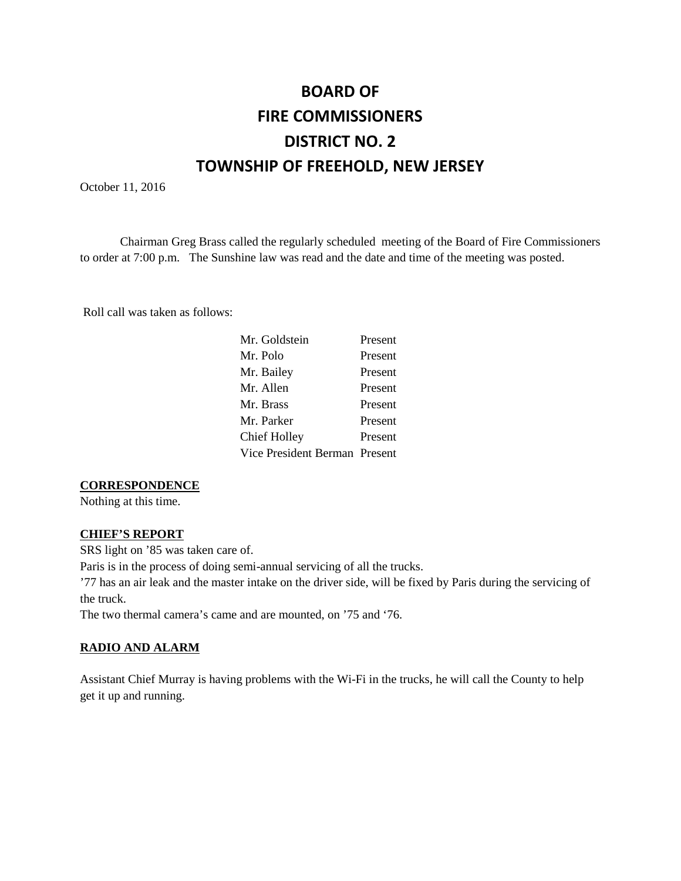# **BOARD OF FIRE COMMISSIONERS DISTRICT NO. 2 TOWNSHIP OF FREEHOLD, NEW JERSEY**

October 11, 2016

Chairman Greg Brass called the regularly scheduled meeting of the Board of Fire Commissioners to order at 7:00 p.m. The Sunshine law was read and the date and time of the meeting was posted.

Roll call was taken as follows:

| Mr. Goldstein                 | Present |
|-------------------------------|---------|
| Mr. Polo                      | Present |
| Mr. Bailey                    | Present |
| Mr. Allen                     | Present |
| Mr. Brass                     | Present |
| Mr. Parker                    | Present |
| <b>Chief Holley</b>           | Present |
| Vice President Berman Present |         |
|                               |         |

#### **CORRESPONDENCE**

Nothing at this time.

#### **CHIEF'S REPORT**

SRS light on '85 was taken care of.

Paris is in the process of doing semi-annual servicing of all the trucks.

'77 has an air leak and the master intake on the driver side, will be fixed by Paris during the servicing of the truck.

The two thermal camera's came and are mounted, on '75 and '76.

#### **RADIO AND ALARM**

Assistant Chief Murray is having problems with the Wi-Fi in the trucks, he will call the County to help get it up and running.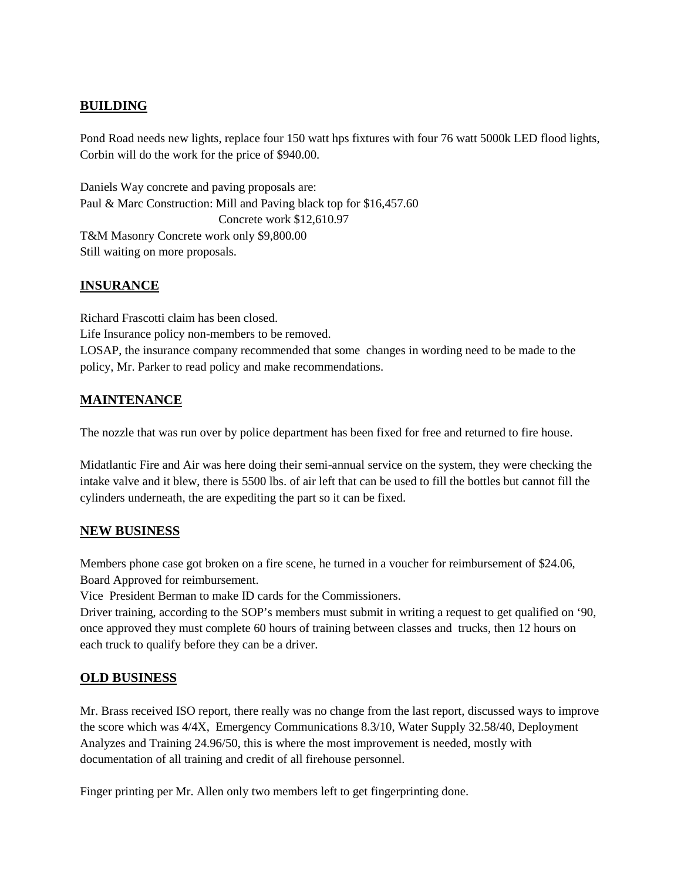# **BUILDING**

Pond Road needs new lights, replace four 150 watt hps fixtures with four 76 watt 5000k LED flood lights, Corbin will do the work for the price of \$940.00.

Daniels Way concrete and paving proposals are: Paul & Marc Construction: Mill and Paving black top for \$16,457.60 Concrete work \$12,610.97 T&M Masonry Concrete work only \$9,800.00 Still waiting on more proposals.

# **INSURANCE**

Richard Frascotti claim has been closed. Life Insurance policy non-members to be removed. LOSAP, the insurance company recommended that some changes in wording need to be made to the policy, Mr. Parker to read policy and make recommendations.

# **MAINTENANCE**

The nozzle that was run over by police department has been fixed for free and returned to fire house.

Midatlantic Fire and Air was here doing their semi-annual service on the system, they were checking the intake valve and it blew, there is 5500 lbs. of air left that can be used to fill the bottles but cannot fill the cylinders underneath, the are expediting the part so it can be fixed.

## **NEW BUSINESS**

Members phone case got broken on a fire scene, he turned in a voucher for reimbursement of \$24.06, Board Approved for reimbursement.

Vice President Berman to make ID cards for the Commissioners.

Driver training, according to the SOP's members must submit in writing a request to get qualified on '90, once approved they must complete 60 hours of training between classes and trucks, then 12 hours on each truck to qualify before they can be a driver.

## **OLD BUSINESS**

Mr. Brass received ISO report, there really was no change from the last report, discussed ways to improve the score which was 4/4X, Emergency Communications 8.3/10, Water Supply 32.58/40, Deployment Analyzes and Training 24.96/50, this is where the most improvement is needed, mostly with documentation of all training and credit of all firehouse personnel.

Finger printing per Mr. Allen only two members left to get fingerprinting done.